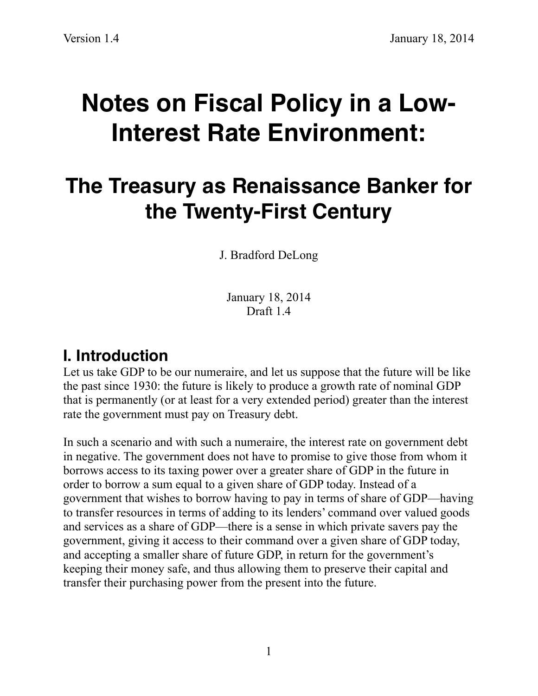# **Notes on Fiscal Policy in a Low-Interest Rate Environment:**

## **The Treasury as Renaissance Banker for the Twenty-First Century**

J. Bradford DeLong

January 18, 2014 Draft 14

#### **I. Introduction**

Let us take GDP to be our numeraire, and let us suppose that the future will be like the past since 1930: the future is likely to produce a growth rate of nominal GDP that is permanently (or at least for a very extended period) greater than the interest rate the government must pay on Treasury debt.

In such a scenario and with such a numeraire, the interest rate on government debt in negative. The government does not have to promise to give those from whom it borrows access to its taxing power over a greater share of GDP in the future in order to borrow a sum equal to a given share of GDP today. Instead of a government that wishes to borrow having to pay in terms of share of GDP—having to transfer resources in terms of adding to its lenders' command over valued goods and services as a share of GDP—there is a sense in which private savers pay the government, giving it access to their command over a given share of GDP today, and accepting a smaller share of future GDP, in return for the government's keeping their money safe, and thus allowing them to preserve their capital and transfer their purchasing power from the present into the future.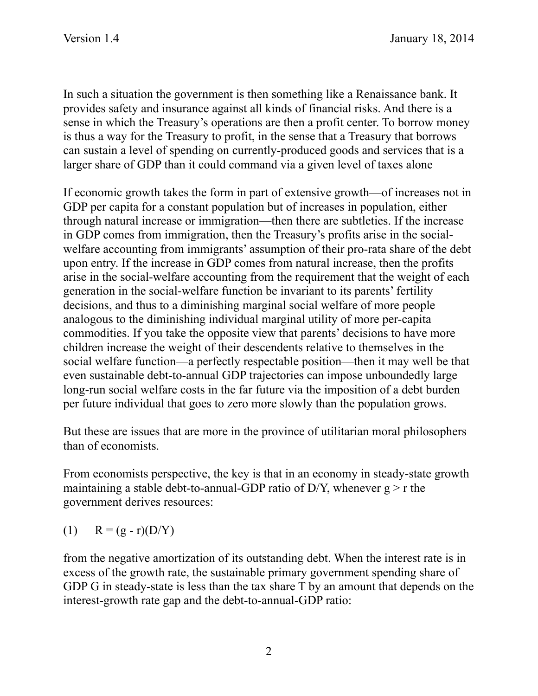In such a situation the government is then something like a Renaissance bank. It provides safety and insurance against all kinds of financial risks. And there is a sense in which the Treasury's operations are then a profit center. To borrow money is thus a way for the Treasury to profit, in the sense that a Treasury that borrows can sustain a level of spending on currently-produced goods and services that is a larger share of GDP than it could command via a given level of taxes alone

If economic growth takes the form in part of extensive growth—of increases not in GDP per capita for a constant population but of increases in population, either through natural increase or immigration—then there are subtleties. If the increase in GDP comes from immigration, then the Treasury's profits arise in the socialwelfare accounting from immigrants' assumption of their pro-rata share of the debt upon entry. If the increase in GDP comes from natural increase, then the profits arise in the social-welfare accounting from the requirement that the weight of each generation in the social-welfare function be invariant to its parents' fertility decisions, and thus to a diminishing marginal social welfare of more people analogous to the diminishing individual marginal utility of more per-capita commodities. If you take the opposite view that parents' decisions to have more children increase the weight of their descendents relative to themselves in the social welfare function—a perfectly respectable position—then it may well be that even sustainable debt-to-annual GDP trajectories can impose unboundedly large long-run social welfare costs in the far future via the imposition of a debt burden per future individual that goes to zero more slowly than the population grows.

But these are issues that are more in the province of utilitarian moral philosophers than of economists.

From economists perspective, the key is that in an economy in steady-state growth maintaining a stable debt-to-annual-GDP ratio of D/Y, whenever  $g > r$  the government derives resources:

(1)  $R = (g - r)(D/Y)$ 

from the negative amortization of its outstanding debt. When the interest rate is in excess of the growth rate, the sustainable primary government spending share of GDP G in steady-state is less than the tax share T by an amount that depends on the interest-growth rate gap and the debt-to-annual-GDP ratio: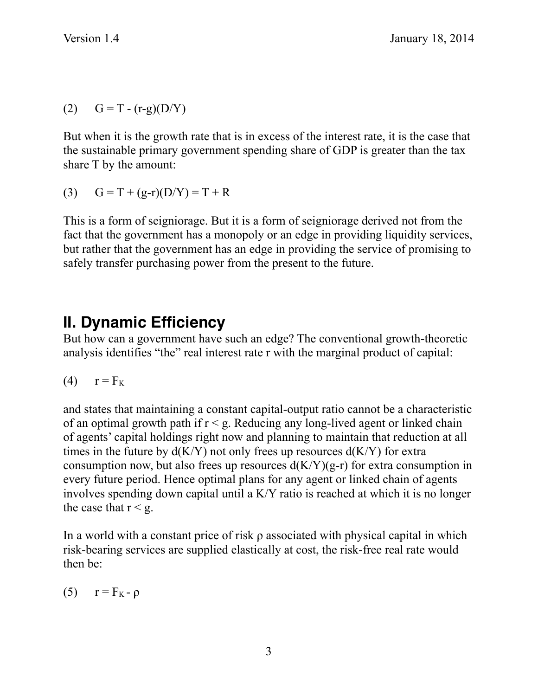(2)  $G = T - (r-g)(D/Y)$ 

But when it is the growth rate that is in excess of the interest rate, it is the case that the sustainable primary government spending share of GDP is greater than the tax share T by the amount:

(3)  $G = T + (g-r)(D/Y) = T + R$ 

This is a form of seigniorage. But it is a form of seigniorage derived not from the fact that the government has a monopoly or an edge in providing liquidity services, but rather that the government has an edge in providing the service of promising to safely transfer purchasing power from the present to the future.

#### **II. Dynamic Efficiency**

But how can a government have such an edge? The conventional growth-theoretic analysis identifies "the" real interest rate r with the marginal product of capital:

$$
(4) \t r = F_K
$$

and states that maintaining a constant capital-output ratio cannot be a characteristic of an optimal growth path if  $r < g$ . Reducing any long-lived agent or linked chain of agents' capital holdings right now and planning to maintain that reduction at all times in the future by  $d(K/Y)$  not only frees up resources  $d(K/Y)$  for extra consumption now, but also frees up resources  $d(K/Y)(g-r)$  for extra consumption in every future period. Hence optimal plans for any agent or linked chain of agents involves spending down capital until a K/Y ratio is reached at which it is no longer the case that  $r < g$ .

In a world with a constant price of risk  $\rho$  associated with physical capital in which risk-bearing services are supplied elastically at cost, the risk-free real rate would then be:

(5)  $r = F_K - \rho$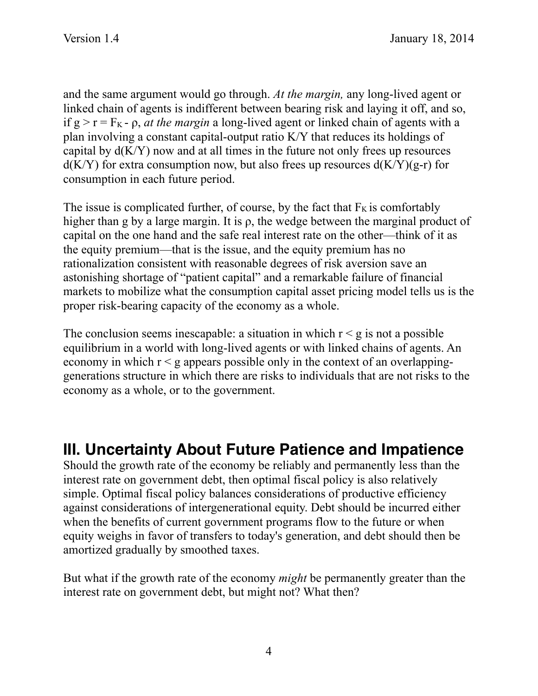and the same argument would go through. *At the margin,* any long-lived agent or linked chain of agents is indifferent between bearing risk and laying it off, and so, if  $g > r = F_K - \rho$ , *at the margin* a long-lived agent or linked chain of agents with a plan involving a constant capital-output ratio K/Y that reduces its holdings of capital by  $d(K/Y)$  now and at all times in the future not only frees up resources  $d(K/Y)$  for extra consumption now, but also frees up resources  $d(K/Y)(g-r)$  for consumption in each future period.

The issue is complicated further, of course, by the fact that  $F<sub>K</sub>$  is comfortably higher than g by a large margin. It is ρ, the wedge between the marginal product of capital on the one hand and the safe real interest rate on the other—think of it as the equity premium—that is the issue, and the equity premium has no rationalization consistent with reasonable degrees of risk aversion save an astonishing shortage of "patient capital" and a remarkable failure of financial markets to mobilize what the consumption capital asset pricing model tells us is the proper risk-bearing capacity of the economy as a whole.

The conclusion seems inescapable: a situation in which  $r < g$  is not a possible equilibrium in a world with long-lived agents or with linked chains of agents. An economy in which  $r < g$  appears possible only in the context of an overlappinggenerations structure in which there are risks to individuals that are not risks to the economy as a whole, or to the government.

#### **III. Uncertainty About Future Patience and Impatience**

Should the growth rate of the economy be reliably and permanently less than the interest rate on government debt, then optimal fiscal policy is also relatively simple. Optimal fiscal policy balances considerations of productive efficiency against considerations of intergenerational equity. Debt should be incurred either when the benefits of current government programs flow to the future or when equity weighs in favor of transfers to today's generation, and debt should then be amortized gradually by smoothed taxes.

But what if the growth rate of the economy *might* be permanently greater than the interest rate on government debt, but might not? What then?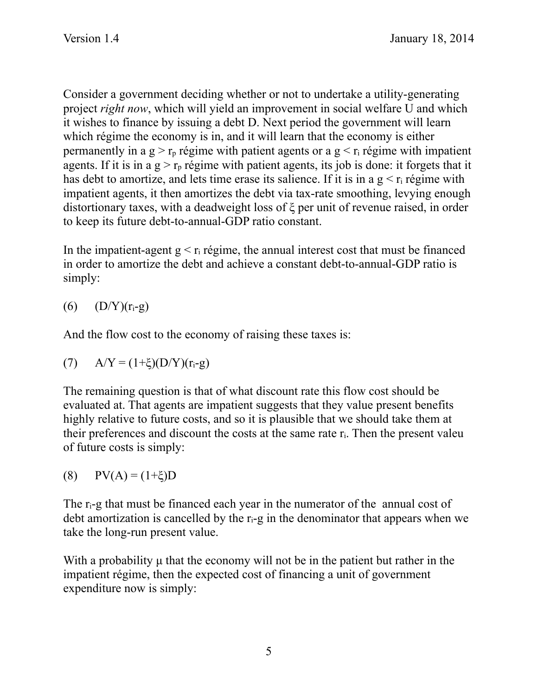Consider a government deciding whether or not to undertake a utility-generating project *right now*, which will yield an improvement in social welfare U and which it wishes to finance by issuing a debt D. Next period the government will learn which régime the economy is in, and it will learn that the economy is either permanently in a  $g > r_p$  régime with patient agents or a  $g < r_i$  régime with impatient agents. If it is in a  $g > r_p$  régime with patient agents, its job is done: it forgets that it has debt to amortize, and lets time erase its salience. If it is in a  $g < r_i$  régime with impatient agents, it then amortizes the debt via tax-rate smoothing, levying enough distortionary taxes, with a deadweight loss of ξ per unit of revenue raised, in order to keep its future debt-to-annual-GDP ratio constant.

In the impatient-agent  $g < r_i$  régime, the annual interest cost that must be financed in order to amortize the debt and achieve a constant debt-to-annual-GDP ratio is simply:

(6)  $(D/Y)(r_i-g)$ 

And the flow cost to the economy of raising these taxes is:

(7) 
$$
A/Y = (1+\xi)(D/Y)(r_i-g)
$$

The remaining question is that of what discount rate this flow cost should be evaluated at. That agents are impatient suggests that they value present benefits highly relative to future costs, and so it is plausible that we should take them at their preferences and discount the costs at the same rate ri. Then the present valeu of future costs is simply:

(8)  $PV(A) = (1+\xi)D$ 

The r<sub>i-g</sub> that must be financed each year in the numerator of the annual cost of debt amortization is cancelled by the  $r_i$ -g in the denominator that appears when we take the long-run present value.

With a probability  $\mu$  that the economy will not be in the patient but rather in the impatient régime, then the expected cost of financing a unit of government expenditure now is simply: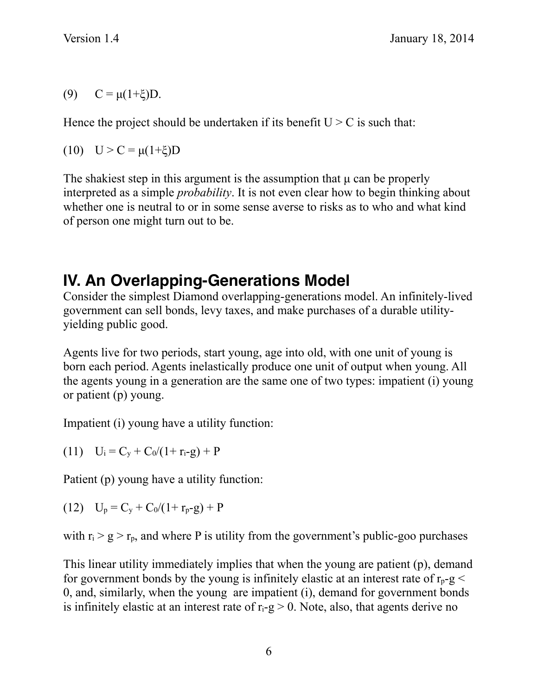(9)  $C = \mu(1+\xi)D$ .

Hence the project should be undertaken if its benefit  $U > C$  is such that:

(10)  $U > C = \mu(1+\xi)D$ 

The shakiest step in this argument is the assumption that  $\mu$  can be properly interpreted as a simple *probability*. It is not even clear how to begin thinking about whether one is neutral to or in some sense averse to risks as to who and what kind of person one might turn out to be.

### **IV. An Overlapping-Generations Model**

Consider the simplest Diamond overlapping-generations model. An infinitely-lived government can sell bonds, levy taxes, and make purchases of a durable utilityyielding public good.

Agents live for two periods, start young, age into old, with one unit of young is born each period. Agents inelastically produce one unit of output when young. All the agents young in a generation are the same one of two types: impatient (i) young or patient (p) young.

Impatient (i) young have a utility function:

(11)  $U_i = C_v + C_0/(1+r_i-g) + P$ 

Patient (p) young have a utility function:

(12)  $U_p = C_v + C_0/(1+r_p-g) + P$ 

with  $r_i > g > r_p$ , and where P is utility from the government's public-goo purchases

This linear utility immediately implies that when the young are patient (p), demand for government bonds by the young is infinitely elastic at an interest rate of  $r_p-g <$ 0, and, similarly, when the young are impatient (i), demand for government bonds is infinitely elastic at an interest rate of  $r_i-g > 0$ . Note, also, that agents derive no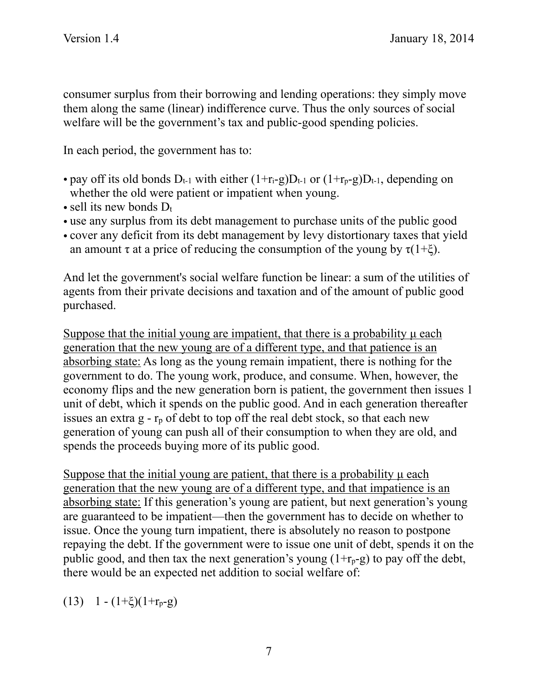consumer surplus from their borrowing and lending operations: they simply move them along the same (linear) indifference curve. Thus the only sources of social welfare will be the government's tax and public-good spending policies.

In each period, the government has to:

- pay off its old bonds  $D_{t-1}$  with either  $(1+r_i-g)D_{t-1}$  or  $(1+r_i-g)D_{t-1}$ , depending on whether the old were patient or impatient when young.
- sell its new bonds  $D_t$
- use any surplus from its debt management to purchase units of the public good
- cover any deficit from its debt management by levy distortionary taxes that yield an amount  $\tau$  at a price of reducing the consumption of the young by  $\tau(1+\xi)$ .

And let the government's social welfare function be linear: a sum of the utilities of agents from their private decisions and taxation and of the amount of public good purchased.

Suppose that the initial young are impatient, that there is a probability  $\mu$  each generation that the new young are of a different type, and that patience is an absorbing state: As long as the young remain impatient, there is nothing for the government to do. The young work, produce, and consume. When, however, the economy flips and the new generation born is patient, the government then issues 1 unit of debt, which it spends on the public good. And in each generation thereafter issues an extra  $g - r_p$  of debt to top off the real debt stock, so that each new generation of young can push all of their consumption to when they are old, and spends the proceeds buying more of its public good.

Suppose that the initial young are patient, that there is a probability u each generation that the new young are of a different type, and that impatience is an absorbing state: If this generation's young are patient, but next generation's young are guaranteed to be impatient—then the government has to decide on whether to issue. Once the young turn impatient, there is absolutely no reason to postpone repaying the debt. If the government were to issue one unit of debt, spends it on the public good, and then tax the next generation's young  $(1+r_p-g)$  to pay off the debt, there would be an expected net addition to social welfare of:

(13) 1 -  $(1+\xi)(1+r_p-g)$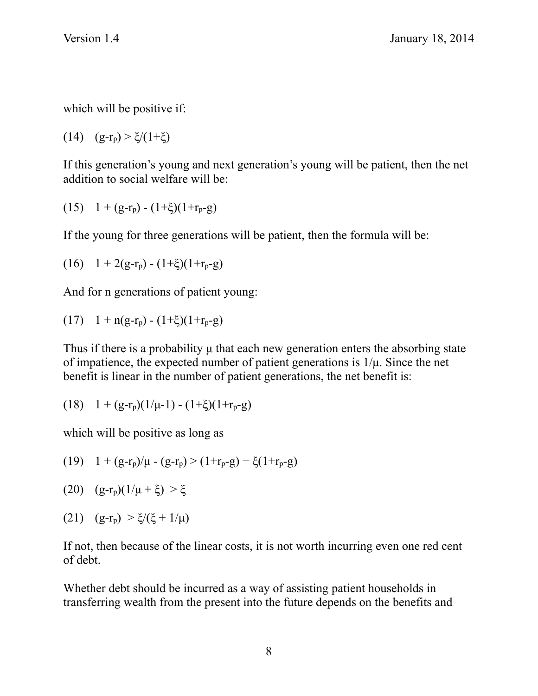which will be positive if:

(14)  $(g-r_p) > \xi/(1+\xi)$ 

If this generation's young and next generation's young will be patient, then the net addition to social welfare will be:

(15) 
$$
1 + (g-r_p) - (1+\xi)(1+r_p-g)
$$

If the young for three generations will be patient, then the formula will be:

(16) 
$$
1 + 2(g-r_p) - (1+\xi)(1+r_p-g)
$$

And for n generations of patient young:

(17) 
$$
1 + n(g-r_p) - (1+\xi)(1+r_p-g)
$$

Thus if there is a probability u that each new generation enters the absorbing state of impatience, the expected number of patient generations is  $1/\mu$ . Since the net benefit is linear in the number of patient generations, the net benefit is:

(18) 
$$
1 + (g-r_p)(1/\mu-1) - (1+\xi)(1+r_p-g)
$$

which will be positive as long as

(19)  $1 + (g-r_p)/\mu - (g-r_p) > (1+r_p-g) + \xi(1+r_p-g)$ 

- (20)  $(g-r_p)(1/\mu + \xi) > \xi$
- (21)  $(g-r_p) > \xi/(\xi + 1/\mu)$

If not, then because of the linear costs, it is not worth incurring even one red cent of debt.

Whether debt should be incurred as a way of assisting patient households in transferring wealth from the present into the future depends on the benefits and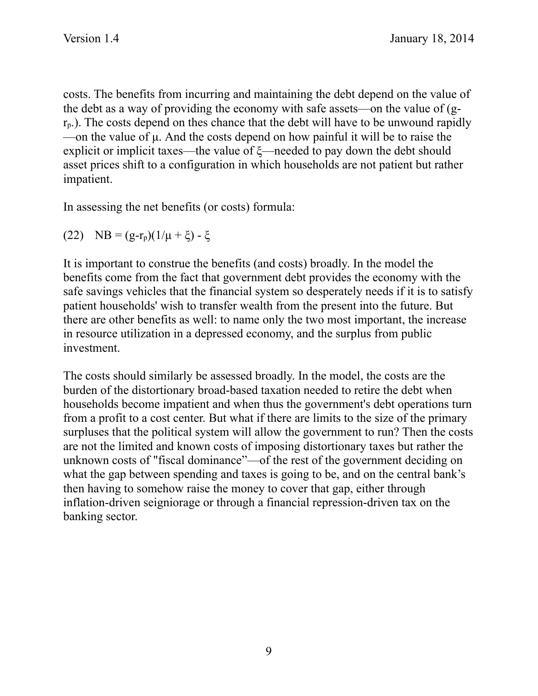costs. The benefits from incurring and maintaining the debt depend on the value of the debt as a way of providing the economy with safe assets—on the value of (g $r<sub>p</sub>$ ). The costs depend on thes chance that the debt will have to be unwound rapidly —on the value of µ. And the costs depend on how painful it will be to raise the explicit or implicit taxes—the value of ξ—needed to pay down the debt should asset prices shift to a configuration in which households are not patient but rather impatient.

In assessing the net benefits (or costs) formula:

(22) NB = 
$$
(g-r_p)(1/\mu + \xi) - \xi
$$

It is important to construe the benefits (and costs) broadly. In the model the benefits come from the fact that government debt provides the economy with the safe savings vehicles that the financial system so desperately needs if it is to satisfy patient households' wish to transfer wealth from the present into the future. But there are other benefits as well: to name only the two most important, the increase in resource utilization in a depressed economy, and the surplus from public investment.

The costs should similarly be assessed broadly. In the model, the costs are the burden of the distortionary broad-based taxation needed to retire the debt when households become impatient and when thus the government's debt operations turn from a profit to a cost center. But what if there are limits to the size of the primary surpluses that the political system will allow the government to run? Then the costs are not the limited and known costs of imposing distortionary taxes but rather the unknown costs of "fiscal dominance"—of the rest of the government deciding on what the gap between spending and taxes is going to be, and on the central bank's then having to somehow raise the money to cover that gap, either through inflation-driven seigniorage or through a financial repression-driven tax on the banking sector.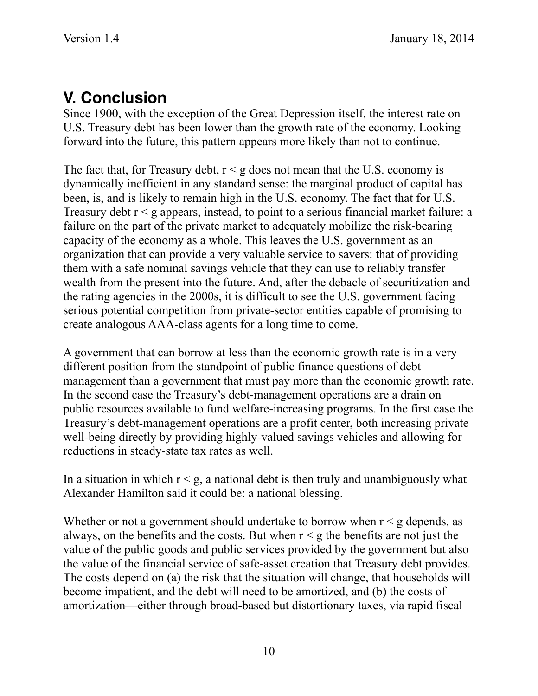### **V. Conclusion**

Since 1900, with the exception of the Great Depression itself, the interest rate on U.S. Treasury debt has been lower than the growth rate of the economy. Looking forward into the future, this pattern appears more likely than not to continue.

The fact that, for Treasury debt,  $r < g$  does not mean that the U.S. economy is dynamically inefficient in any standard sense: the marginal product of capital has been, is, and is likely to remain high in the U.S. economy. The fact that for U.S. Treasury debt  $r < g$  appears, instead, to point to a serious financial market failure: a failure on the part of the private market to adequately mobilize the risk-bearing capacity of the economy as a whole. This leaves the U.S. government as an organization that can provide a very valuable service to savers: that of providing them with a safe nominal savings vehicle that they can use to reliably transfer wealth from the present into the future. And, after the debacle of securitization and the rating agencies in the 2000s, it is difficult to see the U.S. government facing serious potential competition from private-sector entities capable of promising to create analogous AAA-class agents for a long time to come.

A government that can borrow at less than the economic growth rate is in a very different position from the standpoint of public finance questions of debt management than a government that must pay more than the economic growth rate. In the second case the Treasury's debt-management operations are a drain on public resources available to fund welfare-increasing programs. In the first case the Treasury's debt-management operations are a profit center, both increasing private well-being directly by providing highly-valued savings vehicles and allowing for reductions in steady-state tax rates as well.

In a situation in which  $r \leq g$ , a national debt is then truly and unambiguously what Alexander Hamilton said it could be: a national blessing.

Whether or not a government should undertake to borrow when  $r < g$  depends, as always, on the benefits and the costs. But when  $r < g$  the benefits are not just the value of the public goods and public services provided by the government but also the value of the financial service of safe-asset creation that Treasury debt provides. The costs depend on (a) the risk that the situation will change, that households will become impatient, and the debt will need to be amortized, and (b) the costs of amortization—either through broad-based but distortionary taxes, via rapid fiscal